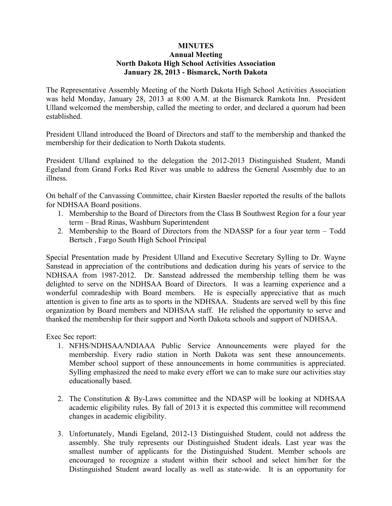## **MINUTES Annual Meeting North Dakota High School Activities Association January 28, 2013 - Bismarck, North Dakota**

The Representative Assembly Meeting of the North Dakota High School Activities Association was held Monday, January 28, 2013 at 8:00 A.M. at the Bismarck Ramkota Inn. President Ulland welcomed the membership, called the meeting to order, and declared a quorum had been established.

President Ulland introduced the Board of Directors and staff to the membership and thanked the membership for their dedication to North Dakota students.

President Ulland explained to the delegation the 2012-2013 Distinguished Student, Mandi Egeland from Grand Forks Red River was unable to address the General Assembly due to an illness.

On behalf of the Canvassing Committee, chair Kirsten Baesler reported the results of the ballots for NDHSAA Board positions.

- 1. Membership to the Board of Directors from the Class B Southwest Region for a four year term – Brad Rinas, Washburn Superintendent
- 2. Membership to the Board of Directors from the NDASSP for a four year term Todd Bertsch , Fargo South High School Principal

Special Presentation made by President Ulland and Executive Secretary Sylling to Dr. Wayne Sanstead in appreciation of the contributions and dedication during his years of service to the NDHSAA from 1987-2012. Dr. Sanstead addressed the membership telling them he was delighted to serve on the NDHSAA Board of Directors. It was a learning experience and a wonderful comradeship with Board members. He is especially appreciative that as much attention is given to fine arts as to sports in the NDHSAA. Students are served well by this fine organization by Board members and NDHSAA staff. He relished the opportunity to serve and thanked the membership for their support and North Dakota schools and support of NDHSAA.

Exec Sec report:

- 1. NFHS/NDHSAA/NDIAAA Public Service Announcements were played for the membership. Every radio station in North Dakota was sent these announcements. Member school support of these announcements in home communities is appreciated. Sylling emphasized the need to make every effort we can to make sure our activities stay educationally based.
- 2. The Constitution & By-Laws committee and the NDASP will be looking at NDHSAA academic eligibility rules. By fall of 2013 it is expected this committee will recommend changes in academic eligibility.
- 3. Unfortunately, Mandi Egeland, 2012-13 Distinguished Student, could not address the assembly. She truly represents our Distinguished Student ideals. Last year was the smallest number of applicants for the Distinguished Student. Member schools are encouraged to recognize a student within their school and select him/her for the Distinguished Student award locally as well as state-wide. It is an opportunity for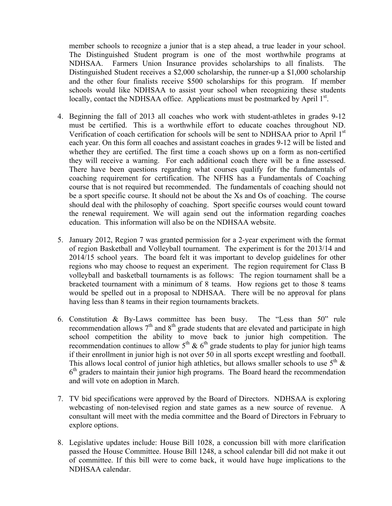member schools to recognize a junior that is a step ahead, a true leader in your school. The Distinguished Student program is one of the most worthwhile programs at NDHSAA. Farmers Union Insurance provides scholarships to all finalists. The Distinguished Student receives a \$2,000 scholarship, the runner-up a \$1,000 scholarship and the other four finalists receive \$500 scholarships for this program. If member schools would like NDHSAA to assist your school when recognizing these students locally, contact the NDHSAA office. Applications must be postmarked by April 1<sup>st</sup>.

- 4. Beginning the fall of 2013 all coaches who work with student-athletes in grades 9-12 must be certified. This is a worthwhile effort to educate coaches throughout ND. Verification of coach certification for schools will be sent to NDHSAA prior to April 1<sup>st</sup> each year. On this form all coaches and assistant coaches in grades 9-12 will be listed and whether they are certified. The first time a coach shows up on a form as non-certified they will receive a warning. For each additional coach there will be a fine assessed. There have been questions regarding what courses qualify for the fundamentals of coaching requirement for certification. The NFHS has a Fundamentals of Coaching course that is not required but recommended. The fundamentals of coaching should not be a sport specific course. It should not be about the Xs and Os of coaching. The course should deal with the philosophy of coaching. Sport specific courses would count toward the renewal requirement. We will again send out the information regarding coaches education. This information will also be on the NDHSAA website.
- 5. January 2012, Region 7 was granted permission for a 2-year experiment with the format of region Basketball and Volleyball tournament. The experiment is for the 2013/14 and 2014/15 school years. The board felt it was important to develop guidelines for other regions who may choose to request an experiment. The region requirement for Class B volleyball and basketball tournaments is as follows: The region tournament shall be a bracketed tournament with a minimum of 8 teams. How regions get to those 8 teams would be spelled out in a proposal to NDHSAA. There will be no approval for plans having less than 8 teams in their region tournaments brackets.
- 6. Constitution & By-Laws committee has been busy. The "Less than 50" rule recommendation allows  $7<sup>th</sup>$  and  $8<sup>th</sup>$  grade students that are elevated and participate in high school competition the ability to move back to junior high competition. The recommendation continues to allow  $5<sup>th</sup>$  &  $6<sup>th</sup>$  grade students to play for junior high teams if their enrollment in junior high is not over 50 in all sports except wrestling and football. This allows local control of junior high athletics, but allows smaller schools to use  $5<sup>th</sup>$  &  $6<sup>th</sup>$  graders to maintain their junior high programs. The Board heard the recommendation and will vote on adoption in March.
- 7. TV bid specifications were approved by the Board of Directors. NDHSAA is exploring webcasting of non-televised region and state games as a new source of revenue. A consultant will meet with the media committee and the Board of Directors in February to explore options.
- 8. Legislative updates include: House Bill 1028, a concussion bill with more clarification passed the House Committee. House Bill 1248, a school calendar bill did not make it out of committee. If this bill were to come back, it would have huge implications to the NDHSAA calendar.